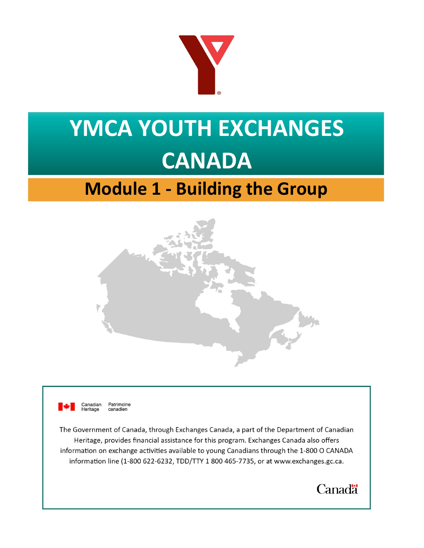

# **YMCA YOUTH EXCHANGES CANADA**

# **Module 1 - Building the Group**





Canadian Heritage Patrimoine canadien

The Government of Canada, through Exchanges Canada, a part of the Department of Canadian Heritage, provides financial assistance for this program. Exchanges Canada also offers information on exchange activities available to young Canadians through the 1-800 0 CANADA information line (1-800 622-6232, TDD/TTY 1800465-7735, or at [www.exchanges.gc.ca.](http://www.exchanges.gc.ca)

Canad<sup>"</sup>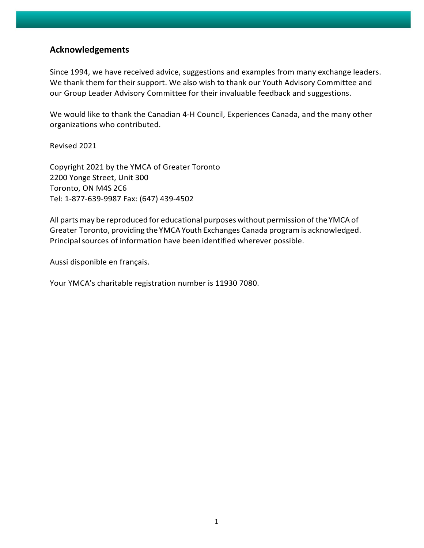#### **Acknowledgements**

Since 1994, we have received advice, suggestions and examples from many exchange leaders. We thank them for their support. We also wish to thank our Youth Advisory Committee and our Group Leader Advisory Committee for their invaluable feedback and suggestions.

We would like to thank the Canadian 4-H Council, Experiences Canada, and the many other organizations who contributed.

Revised 2021

Copyright 2021 by the YMCA of Greater Toronto 2200 Yonge Street, Unit 300 Toronto, ON M4S 2C6 Tel: 1-877-639-9987 Fax: (647) 439-4502

All parts may be reproduced for educational purposes without permission ofthe YMCA of Greater Toronto, providing the YMCAYouth Exchanges Canada program is acknowledged. Principal sources of information have been identified wherever possible.

Aussi disponible en français.

Your YMCA's charitable registration number is 11930 7080.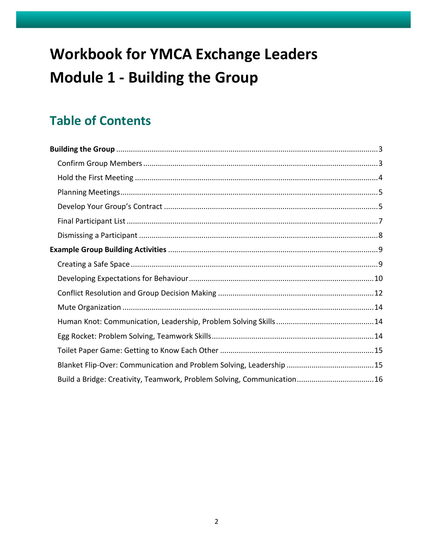# **Workbook for YMCA Exchange Leaders Module 1 - Building the Group**

### **Table of Contents**

| Build a Bridge: Creativity, Teamwork, Problem Solving, Communication16 |  |
|------------------------------------------------------------------------|--|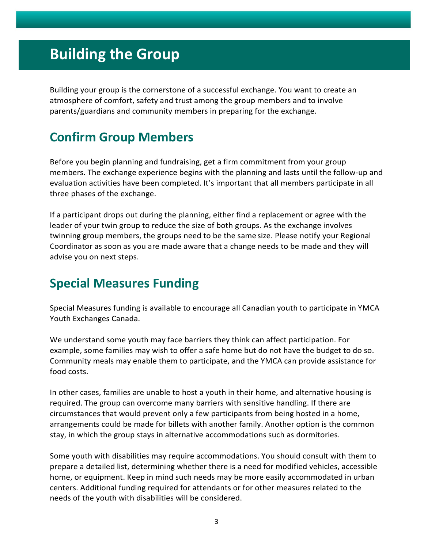### <span id="page-3-0"></span>**Building the Group**

Building your group is the cornerstone of a successful exchange. You want to create an atmosphere of comfort, safety and trust among the group members and to involve parents/guardians and community members in preparing for the exchange.

### <span id="page-3-1"></span>**Confirm Group Members**

Before you begin planning and fundraising, get a firm commitment from your group members. The exchange experience begins with the planning and lasts until the follow-up and evaluation activities have been completed. It's important that all members participate in all three phases of the exchange.

If a participant drops out during the planning, either find a replacement or agree with the leader of your twin group to reduce the size of both groups. As the exchange involves twinning group members, the groups need to be the same size. Please notify your Regional Coordinator as soon as you are made aware that a change needs to be made and they will advise you on next steps.

### **Special Measures Funding**

Special Measures funding is available to encourage all Canadian youth to participate in YMCA Youth Exchanges Canada.

We understand some youth may face barriers they think can affect participation. For example, some families may wish to offer a safe home but do not have the budget to do so. Community meals may enable them to participate, and the YMCA can provide assistance for food costs.

In other cases, families are unable to host a youth in their home, and alternative housing is required. The group can overcome many barriers with sensitive handling. If there are circumstances that would prevent only a few participants from being hosted in a home, arrangements could be made for billets with another family. Another option is the common stay, in which the group stays in alternative accommodations such as dormitories.

Some youth with disabilities may require accommodations. You should consult with them to prepare a detailed list, determining whether there is a need for modified vehicles, accessible home, or equipment. Keep in mind such needs may be more easily accommodated in urban centers. Additional funding required for attendants or for other measures related to the needs of the youth with disabilities will be considered.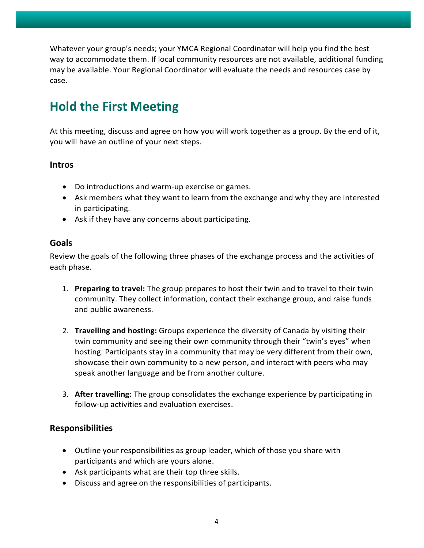Whatever your group's needs; your YMCA Regional Coordinator will help you find the best way to accommodate them. If local community resources are not available, additional funding may be available. Your Regional Coordinator will evaluate the needs and resources case by case.

### <span id="page-4-0"></span>**Hold the First Meeting**

At this meeting, discuss and agree on how you will work together as a group. By the end of it, you will have an outline of your next steps.

#### **Intros**

- Do introductions and warm-up exercise or games.
- Ask members what they want to learn from the exchange and why they are interested in participating.
- Ask if they have any concerns about participating.

#### **Goals**

Review the goals of the following three phases of the exchange process and the activities of each phase.

- 1. **Preparing to travel:** The group prepares to host their twin and to travel to their twin community. They collect information, contact their exchange group, and raise funds and public awareness.
- 2. **Travelling and hosting:** Groups experience the diversity of Canada by visiting their twin community and seeing their own community through their "twin's eyes" when hosting. Participants stay in a community that may be very different from their own, showcase their own community to a new person, and interact with peers who may speak another language and be from another culture.
- 3. **After travelling:** The group consolidates the exchange experience by participating in follow-up activities and evaluation exercises.

#### **Responsibilities**

- Outline your responsibilities as group leader, which of those you share with participants and which are yours alone.
- Ask participants what are their top three skills.
- Discuss and agree on the responsibilities of participants.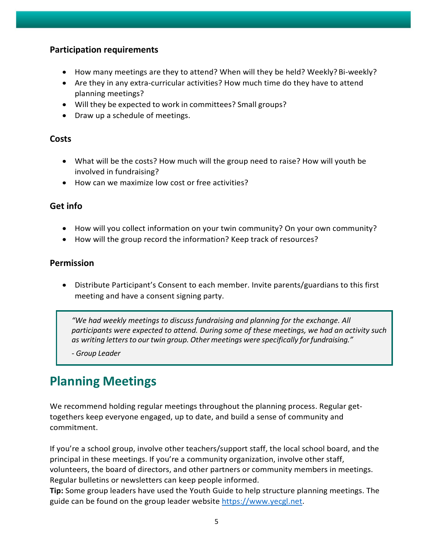#### **Participation requirements**

- How many meetings are they to attend? When will they be held? Weekly? Bi-weekly?
- Are they in any extra-curricular activities? How much time do they have to attend planning meetings?
- Will they be expected to work in committees? Small groups?
- Draw up a schedule of meetings.

#### **Costs**

- What will be the costs? How much will the group need to raise? How will youth be involved in fundraising?
- How can we maximize low cost or free activities?

#### **Get info**

- How will you collect information on your twin community? On your own community?
- How will the group record the information? Keep track of resources?

#### **Permission**

• Distribute Participant's Consent to each member. Invite parents/guardians to this first meeting and have a consent signing party.

*"We had weekly meetings to discuss fundraising and planning for the exchange. All participants were expected to attend. During some of these meetings, we had an activity such as writing lettersto our twin group. Other meetings were specifically forfundraising."* 

*- Group Leader*

### <span id="page-5-0"></span>**Planning Meetings**

We recommend holding regular meetings throughout the planning process. Regular gettogethers keep everyone engaged, up to date, and build a sense of community and commitment.

If you're a school group, involve other teachers/support staff, the local school board, and the principal in these meetings. If you're a community organization, involve other staff, volunteers, the board of directors, and other partners or community members in meetings. Regular bulletins or newsletters can keep people informed.

**Tip:** Some group leaders have used the Youth Guide to help structure planning meetings. The guide can be found on the group leader website [https://www.yecgl.net.](https://www.yecgl.net/)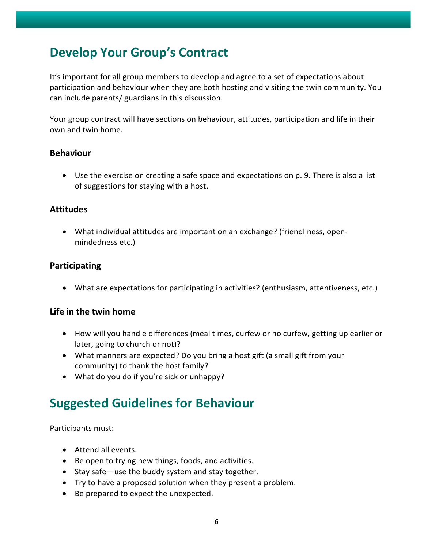### <span id="page-6-0"></span>**Develop Your Group's Contract**

It's important for all group members to develop and agree to a set of expectations about participation and behaviour when they are both hosting and visiting the twin community. You can include parents/ guardians in this discussion.

Your group contract will have sections on behaviour, attitudes, participation and life in their own and twin home.

#### **Behaviour**

• Use the exercise on creating a safe space and expectations on p. 9. There is also a list of suggestions for staying with a host.

#### **Attitudes**

• What individual attitudes are important on an exchange? (friendliness, openmindedness etc.)

#### **Participating**

• What are expectations for participating in activities? (enthusiasm, attentiveness, etc.)

#### **Life in the twin home**

- How will you handle differences (meal times, curfew or no curfew, getting up earlier or later, going to church or not)?
- What manners are expected? Do you bring a host gift (a small gift from your community) to thank the host family?
- What do you do if you're sick or unhappy?

### **Suggested Guidelines for Behaviour**

Participants must:

- Attend all events.
- Be open to trying new things, foods, and activities.
- Stay safe—use the buddy system and stay together.
- Try to have a proposed solution when they present a problem.
- Be prepared to expect the unexpected.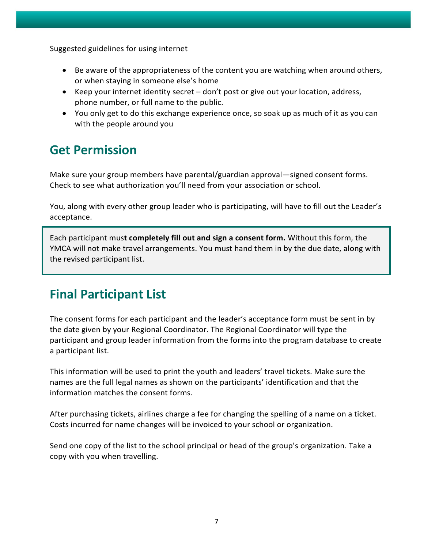Suggested guidelines for using internet

- Be aware of the appropriateness of the content you are watching when around others, or when staying in someone else's home
- Keep your internet identity secret don't post or give out your location, address, phone number, or full name to the public.
- You only get to do this exchange experience once, so soak up as much of it as you can with the people around you

### **Get Permission**

Make sure your group members have parental/guardian approval—signed consent forms. Check to see what authorization you'll need from your association or school.

You, along with every other group leader who is participating, will have to fill out the Leader's acceptance.

Each participant mus**t completely fill out and sign a consent form.** Without this form, the YMCA will not make travel arrangements. You must hand them in by the due date, along with the revised participant list.

### <span id="page-7-0"></span>**Final Participant List**

The consent forms for each participant and the leader's acceptance form must be sent in by the date given by your Regional Coordinator. The Regional Coordinator will type the participant and group leader information from the forms into the program database to create a participant list.

This information will be used to print the youth and leaders' travel tickets. Make sure the names are the full legal names as shown on the participants' identification and that the information matches the consent forms.

After purchasing tickets, airlines charge a fee for changing the spelling of a name on a ticket. Costs incurred for name changes will be invoiced to your school or organization.

Send one copy of the list to the school principal or head of the group's organization. Take a copy with you when travelling.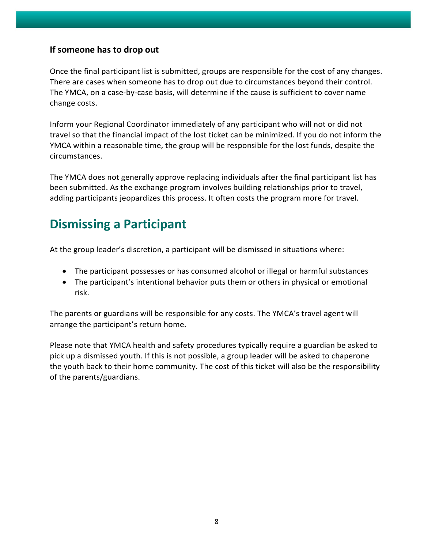#### **If someone has to drop out**

Once the final participant list is submitted, groups are responsible for the cost of any changes. There are cases when someone has to drop out due to circumstances beyond their control. The YMCA, on a case-by-case basis, will determine if the cause is sufficient to cover name change costs.

Inform your Regional Coordinator immediately of any participant who will not or did not travel so that the financial impact of the lost ticket can be minimized. If you do not inform the YMCA within a reasonable time, the group will be responsible for the lost funds, despite the circumstances.

The YMCA does not generally approve replacing individuals after the final participant list has been submitted. As the exchange program involves building relationships prior to travel, adding participants jeopardizes this process. It often costs the program more for travel.

### <span id="page-8-0"></span>**Dismissing a Participant**

At the group leader's discretion, a participant will be dismissed in situations where:

- The participant possesses or has consumed alcohol or illegal or harmful substances
- The participant's intentional behavior puts them or others in physical or emotional risk.

The parents or guardians will be responsible for any costs. The YMCA's travel agent will arrange the participant's return home.

Please note that YMCA health and safety procedures typically require a guardian be asked to pick up a dismissed youth. If this is not possible, a group leader will be asked to chaperone the youth back to their home community. The cost of this ticket will also be the responsibility of the parents/guardians.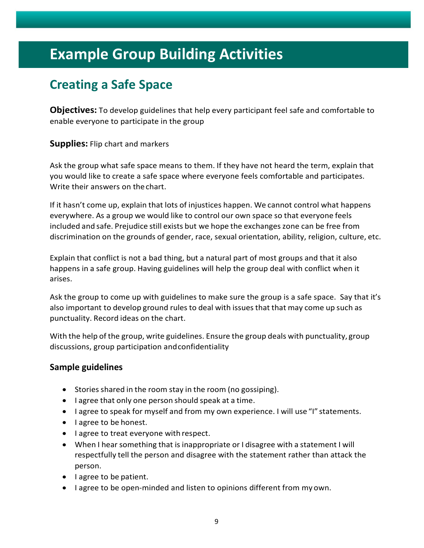## <span id="page-9-0"></span>**Example Group Building Activities**

### <span id="page-9-1"></span>**Creating a Safe Space**

**Objectives:** To develop guidelines that help every participant feel safe and comfortable to enable everyone to participate in the group

**Supplies:** Flip chart and markers

Ask the group what safe space means to them. If they have not heard the term, explain that you would like to create a safe space where everyone feels comfortable and participates. Write their answers on thechart.

If it hasn't come up, explain that lots of injustices happen. We cannot control what happens everywhere. As a group we would like to control our own space so that everyone feels included and safe. Prejudice still exists but we hope the exchanges zone can be free from discrimination on the grounds of gender, race, sexual orientation, ability, religion, culture, etc.

Explain that conflict is not a bad thing, but a natural part of most groups and that it also happens in a safe group. Having guidelines will help the group deal with conflict when it arises.

Ask the group to come up with guidelines to make sure the group is a safe space. Say that it's also important to develop ground rules to deal with issues that that may come up such as punctuality. Record ideas on the chart.

With the help of the group, write guidelines. Ensure the group deals with punctuality, group discussions, group participation andconfidentiality

#### **Sample guidelines**

- Stories shared in the room stay in the room (no gossiping).
- I agree that only one person should speak at a time.
- I agree to speak for myself and from my own experience. I will use "I" statements.
- I agree to be honest.
- I agree to treat everyone with respect.
- When I hear something that is inappropriate or I disagree with a statement I will respectfully tell the person and disagree with the statement rather than attack the person.
- lagree to be patient.
- I agree to be open-minded and listen to opinions different from my own.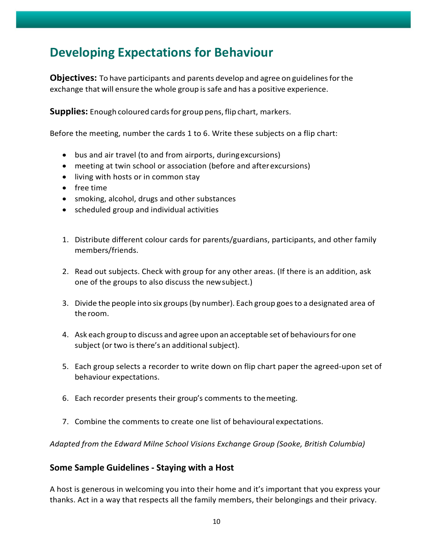### <span id="page-10-0"></span>**Developing Expectations for Behaviour**

**Objectives:** To have participants and parents develop and agree on guidelines for the exchange that will ensure the whole group issafe and has a positive experience.

Supplies: Enough coloured cards for group pens, flip chart, markers.

Before the meeting, number the cards 1 to 6. Write these subjects on a flip chart:

- bus and air travel (to and from airports, duringexcursions)
- meeting at twin school or association (before and after excursions)
- living with hosts or in common stay
- free time
- smoking, alcohol, drugs and other substances
- scheduled group and individual activities
- 1. Distribute different colour cards for parents/guardians, participants, and other family members/friends.
- 2. Read out subjects. Check with group for any other areas. (If there is an addition, ask one of the groups to also discuss the newsubject.)
- 3. Divide the people into six groups(by number). Each group goesto a designated area of the room.
- 4. Ask each group to discuss and agree upon an acceptable set of behavioursfor one subject (or two is there's an additional subject).
- 5. Each group selects a recorder to write down on flip chart paper the agreed-upon set of behaviour expectations.
- 6. Each recorder presents their group's comments to themeeting.
- 7. Combine the comments to create one list of behavioural expectations.

*Adapted from the Edward Milne School Visions Exchange Group (Sooke, British Columbia)*

#### **Some Sample Guidelines - Staying with a Host**

A host is generous in welcoming you into their home and it's important that you express your thanks. Act in a way that respects all the family members, their belongings and their privacy.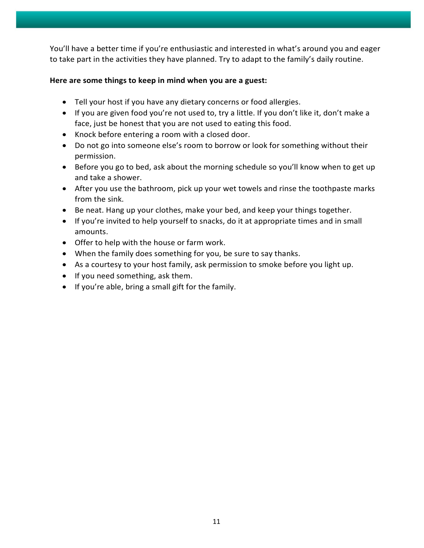You'll have a better time if you're enthusiastic and interested in what's around you and eager to take part in the activities they have planned. Try to adapt to the family's daily routine.

#### **Here are some things to keep in mind when you are a guest:**

- Tell your host if you have any dietary concerns or food allergies.
- If you are given food you're not used to, try a little. If you don't like it, don't make a face, just be honest that you are not used to eating this food.
- Knock before entering a room with a closed door.
- Do not go into someone else's room to borrow or look for something without their permission.
- Before you go to bed, ask about the morning schedule so you'll know when to get up and take a shower.
- After you use the bathroom, pick up your wet towels and rinse the toothpaste marks from the sink.
- Be neat. Hang up your clothes, make your bed, and keep your things together.
- If you're invited to help yourself to snacks, do it at appropriate times and in small amounts.
- Offer to help with the house or farm work.
- When the family does something for you, be sure to say thanks.
- As a courtesy to your host family, ask permission to smoke before you light up.
- If you need something, ask them.
- If you're able, bring a small gift for the family.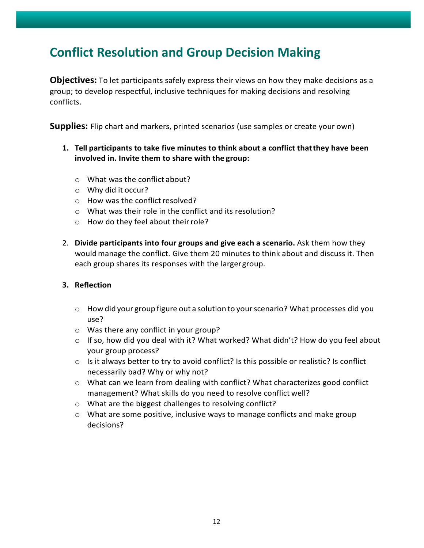### <span id="page-12-0"></span>**Conflict Resolution and Group Decision Making**

**Objectives:** To let participants safely express their views on how they make decisions as a group; to develop respectful, inclusive techniques for making decisions and resolving conflicts.

**Supplies:** Flip chart and markers, printed scenarios (use samples or create your own)

#### **1. Tell participants to take five minutes to think about a conflict thatthey have been involved in. Invite them to share with the group:**

- o What was the conflict about?
- o Why did it occur?
- $\circ$  How was the conflict resolved?
- o What was their role in the conflict and its resolution?
- o How do they feel about theirrole?
- 2. **Divide participants into four groups and give each a scenario.** Ask them how they wouldmanage the conflict. Give them 20 minutes to think about and discuss it. Then each group shares its responses with the largergroup.

#### **3. Reflection**

- $\circ$  How did your group figure out a solution to your scenario? What processes did you use?
- o Was there any conflict in your group?
- o If so, how did you deal with it? What worked? What didn't? How do you feel about your group process?
- o Is it always better to try to avoid conflict? Is this possible or realistic? Is conflict necessarily bad? Why or why not?
- $\circ$  What can we learn from dealing with conflict? What characterizes good conflict management? What skills do you need to resolve conflict well?
- o What are the biggest challenges to resolving conflict?
- $\circ$  What are some positive, inclusive ways to manage conflicts and make group decisions?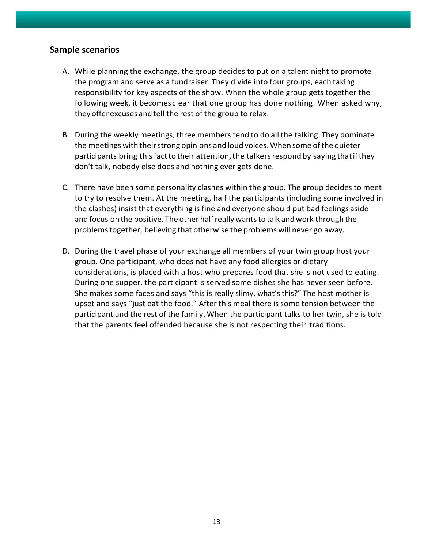#### **Sample scenarios**

- A. While planning the exchange, the group decides to put on a talent night to promote the program and serve as a fundraiser. They divide into four groups, each taking responsibility for key aspects of the show. When the whole group gets together the following week, it becomesclear that one group has done nothing. When asked why, they offerexcuses andtell the rest of the group to relax.
- B. During the weekly meetings, three members tend to do all the talking. They dominate the meetings with their strong opinions and loud voices. When some of the quieter participants bring this fact to their attention, the talkers respond by saying that if they don't talk, nobody else does and nothing ever gets done.
- C. There have been some personality clashes within the group. The group decides to meet to try to resolve them. At the meeting, half the participants (including some involved in the clashes) insist that everything is fine and everyone should put bad feelings aside and focus on the positive. The other half really wants to talk and work through the problemstogether, believing that otherwise the problems will never go away.
- D. During the travel phase of your exchange all members of your twin group host your group. One participant, who does not have any food allergies or dietary considerations, is placed with a host who prepares food that she is not used to eating. During one supper, the participant is served some dishes she has never seen before. She makes some faces and says "this is really slimy, what's this?" The host mother is upset and says "just eat the food." After this meal there is some tension between the participant and the rest of the family. When the participant talks to her twin, she is told that the parents feel offended because she is not respecting their traditions.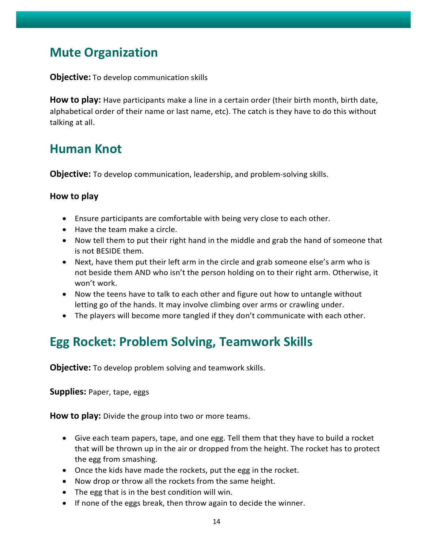### <span id="page-14-0"></span>**Mute Organization**

**Objective:** To develop communication skills

**How to play:** Have participants make a line in a certain order (their birth month, birth date, alphabetical order of their name or last name, etc). The catch is they have to do this without talking at all.

### <span id="page-14-1"></span>**Human Knot**

**Objective:** To develop communication, leadership, and problem-solving skills.

#### **How to play**

- Ensure participants are comfortable with being very close to each other.
- Have the team make a circle.
- Now tell them to put their right hand in the middle and grab the hand of someone that is not BESIDE them.
- Next, have them put their left arm in the circle and grab someone else's arm who is not beside them AND who isn't the person holding on to their right arm. Otherwise, it won't work.
- Now the teens have to talk to each other and figure out how to untangle without letting go of the hands. It may involve climbing over arms or crawling under.
- The players will become more tangled if they don't communicate with each other.

### <span id="page-14-2"></span>**Egg Rocket: Problem Solving, Teamwork Skills**

**Objective:** To develop problem solving and teamwork skills.

**Supplies:** Paper, tape, eggs

**How to play:** Divide the group into two or more teams.

- Give each team papers, tape, and one egg. Tell them that they have to build a rocket that will be thrown up in the air or dropped from the height. The rocket has to protect the egg from smashing.
- Once the kids have made the rockets, put the egg in the rocket.
- Now drop or throw all the rockets from the same height.
- The egg that is in the best condition will win.
- If none of the eggs break, then throw again to decide the winner.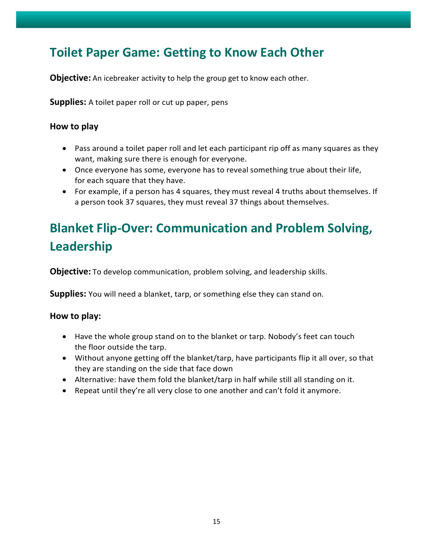### <span id="page-15-0"></span>**Toilet Paper Game: Getting to Know Each Other**

**Objective:** An icebreaker activity to help the group get to know each other.

**Supplies:** A toilet paper roll or cut up paper, pens

#### **How to play**

- Pass around a toilet paper roll and let each participant rip off as many squares as they want, making sure there is enough for everyone.
- Once everyone has some, everyone has to reveal something true about their life, for each square that they have.
- For example, if a person has 4 squares, they must reveal 4 truths about themselves. If a person took 37 squares, they must reveal 37 things about themselves.

### <span id="page-15-1"></span>**Blanket Flip-Over: Communication and Problem Solving, Leadership**

**Objective:** To develop communication, problem solving, and leadership skills.

**Supplies:** You will need a blanket, tarp, or something else they can stand on.

#### **How to play:**

- Have the whole group stand on to the blanket or tarp. Nobody's feet can touch the floor outside the tarp.
- Without anyone getting off the blanket/tarp, have participants flip it all over, so that they are standing on the side that face down
- Alternative: have them fold the blanket/tarp in half while still all standing on it.
- Repeat until they're all very close to one another and can't fold it anymore.